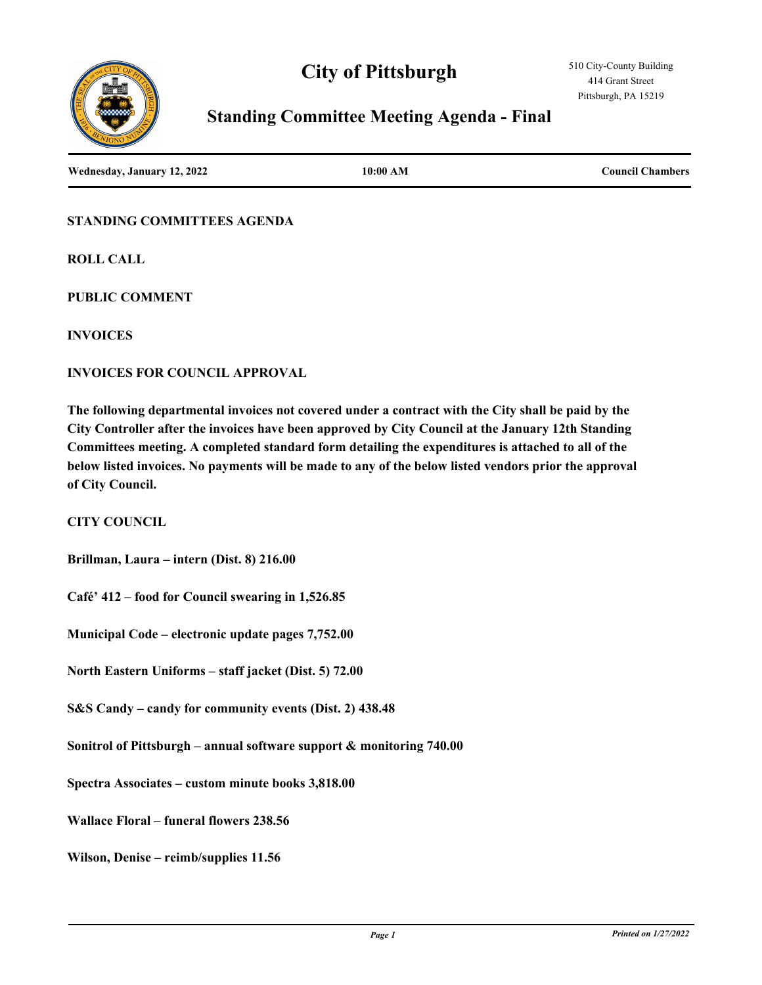



# **Standing Committee Meeting Agenda - Final**

**Wednesday, January 12, 2022 10:00 AM Council Chambers**

**STANDING COMMITTEES AGENDA**

**ROLL CALL**

**PUBLIC COMMENT**

**INVOICES**

**INVOICES FOR COUNCIL APPROVAL**

**The following departmental invoices not covered under a contract with the City shall be paid by the City Controller after the invoices have been approved by City Council at the January 12th Standing Committees meeting. A completed standard form detailing the expenditures is attached to all of the below listed invoices. No payments will be made to any of the below listed vendors prior the approval of City Council.**

**CITY COUNCIL**

**Brillman, Laura – intern (Dist. 8) 216.00**

**Café' 412 – food for Council swearing in 1,526.85**

**Municipal Code – electronic update pages 7,752.00**

**North Eastern Uniforms – staff jacket (Dist. 5) 72.00**

**S&S Candy – candy for community events (Dist. 2) 438.48**

**Sonitrol of Pittsburgh – annual software support & monitoring 740.00**

**Spectra Associates – custom minute books 3,818.00**

**Wallace Floral – funeral flowers 238.56**

**Wilson, Denise – reimb/supplies 11.56**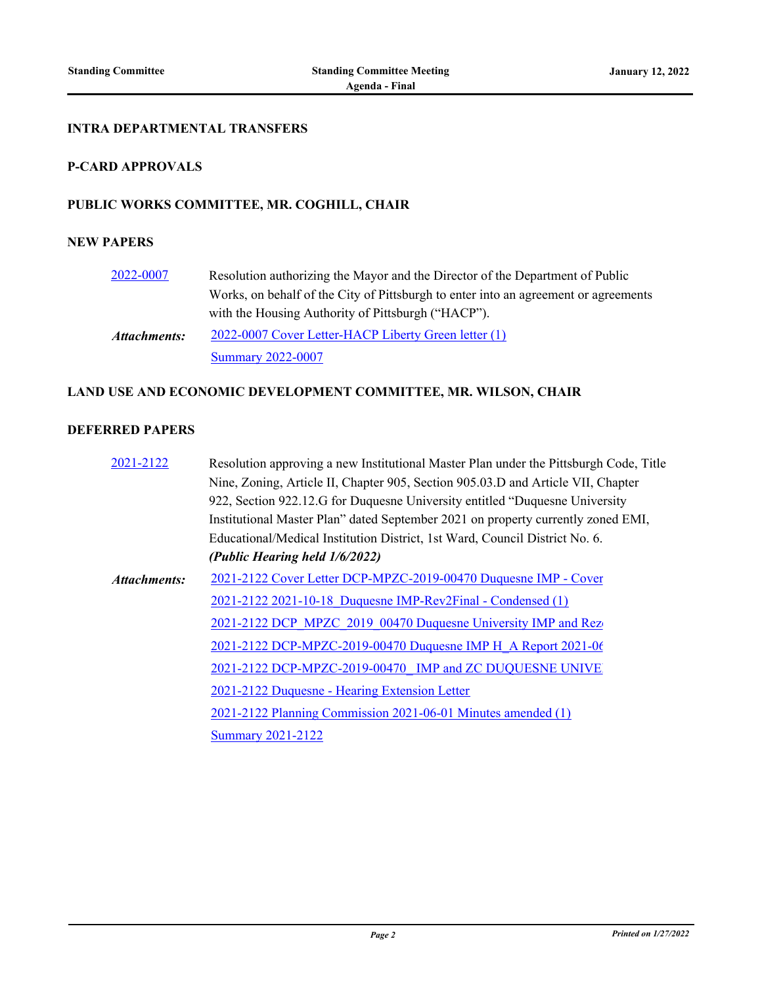#### **INTRA DEPARTMENTAL TRANSFERS**

# **P-CARD APPROVALS**

#### **PUBLIC WORKS COMMITTEE, MR. COGHILL, CHAIR**

#### **NEW PAPERS**

| 2022-0007    | Resolution authorizing the Mayor and the Director of the Department of Public       |
|--------------|-------------------------------------------------------------------------------------|
|              | Works, on behalf of the City of Pittsburgh to enter into an agreement or agreements |
|              | with the Housing Authority of Pittsburgh ("HACP").                                  |
| Attachments: | 2022-0007 Cover Letter-HACP Liberty Green letter (1)                                |
|              | <b>Summary 2022-0007</b>                                                            |

# **LAND USE AND ECONOMIC DEVELOPMENT COMMITTEE, MR. WILSON, CHAIR**

#### **DEFERRED PAPERS**

| 2021-2122    | Resolution approving a new Institutional Master Plan under the Pittsburgh Code, Title |
|--------------|---------------------------------------------------------------------------------------|
|              | Nine, Zoning, Article II, Chapter 905, Section 905.03.D and Article VII, Chapter      |
|              | 922, Section 922.12.G for Duquesne University entitled "Duquesne University"          |
|              | Institutional Master Plan" dated September 2021 on property currently zoned EMI,      |
|              | Educational/Medical Institution District, 1st Ward, Council District No. 6.           |
|              | (Public Hearing held 1/6/2022)                                                        |
| Attachments: | 2021-2122 Cover Letter DCP-MPZC-2019-00470 Duquesne IMP - Cover                       |
|              | 2021-2122 2021-10-18 Duquesne IMP-Rev2Final - Condensed (1)                           |
|              | 2021-2122 DCP MPZC 2019 00470 Duquesne University IMP and Rez                         |
|              | 2021-2122 DCP-MPZC-2019-00470 Duquesne IMP H A Report 2021-06                         |
|              | 2021-2122 DCP-MPZC-2019-00470 IMP and ZC DUQUESNE UNIVE                               |
|              | 2021-2122 Duquesne - Hearing Extension Letter                                         |
|              | 2021-2122 Planning Commission 2021-06-01 Minutes amended (1)                          |
|              | <b>Summary 2021-2122</b>                                                              |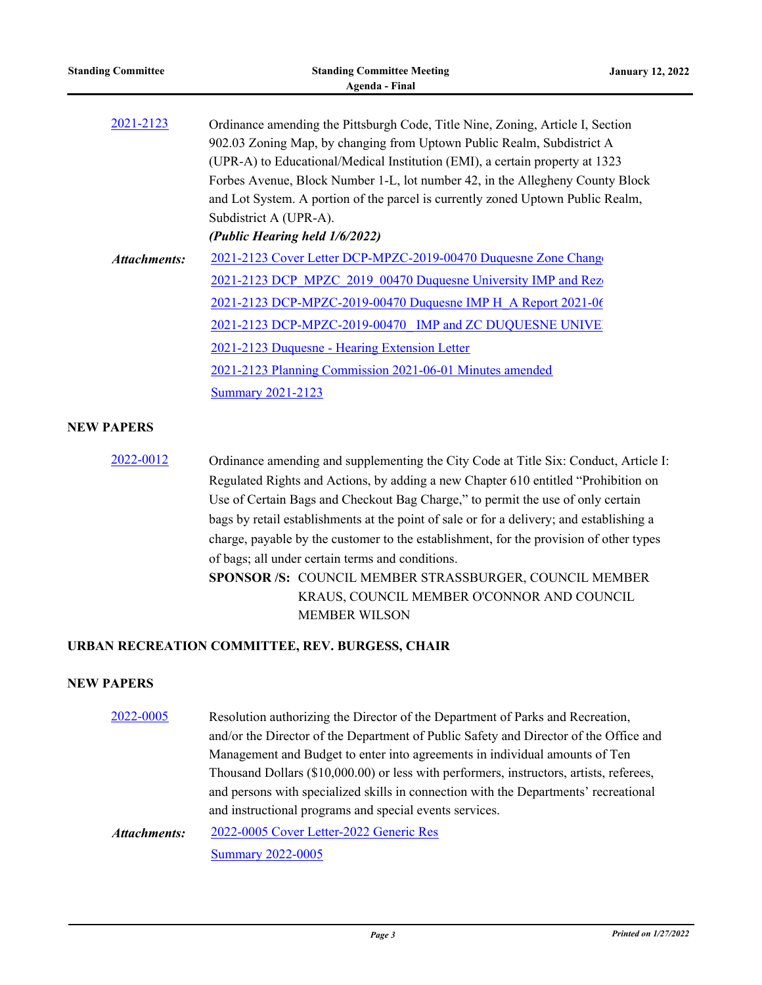| <b>Standing Committee</b> | <b>Standing Committee Meeting</b><br><b>Agenda - Final</b>                                                                                                                                                                                   | <b>January 12, 2022</b> |
|---------------------------|----------------------------------------------------------------------------------------------------------------------------------------------------------------------------------------------------------------------------------------------|-------------------------|
| 2021-2123                 | Ordinance amending the Pittsburgh Code, Title Nine, Zoning, Article I, Section                                                                                                                                                               |                         |
|                           | 902.03 Zoning Map, by changing from Uptown Public Realm, Subdistrict A                                                                                                                                                                       |                         |
|                           | (UPR-A) to Educational/Medical Institution (EMI), a certain property at 1323                                                                                                                                                                 |                         |
|                           | Forbes Avenue, Block Number 1-L, lot number 42, in the Allegheny County Block                                                                                                                                                                |                         |
|                           | and Lot System. A portion of the parcel is currently zoned Uptown Public Realm,                                                                                                                                                              |                         |
|                           | Subdistrict A (UPR-A).                                                                                                                                                                                                                       |                         |
|                           | (Public Hearing held 1/6/2022)                                                                                                                                                                                                               |                         |
| <b>Attachments:</b>       | 2021-2123 Cover Letter DCP-MPZC-2019-00470 Duquesne Zone Change                                                                                                                                                                              |                         |
|                           | 2021-2123 DCP MPZC 2019 00470 Duquesne University IMP and Rez                                                                                                                                                                                |                         |
|                           | 2021-2123 DCP-MPZC-2019-00470 Duquesne IMP H A Report 2021-06                                                                                                                                                                                |                         |
|                           | 2021-2123 DCP-MPZC-2019-00470 IMP and ZC DUQUESNE UNIVE                                                                                                                                                                                      |                         |
|                           | 2021-2123 Duquesne - Hearing Extension Letter                                                                                                                                                                                                |                         |
|                           | 2021-2123 Planning Commission 2021-06-01 Minutes amended                                                                                                                                                                                     |                         |
|                           | <b>Summary 2021-2123</b>                                                                                                                                                                                                                     |                         |
| <b>NEW PAPERS</b>         |                                                                                                                                                                                                                                              |                         |
| 2022-0012                 | Ordinance amending and supplementing the City Code at Title Six: Conduct, Article I:<br>$\mathbf{A}$ and $\mathbf{A}$ and $\mathbf{A}$ and $\mathbf{A}$ and $\mathbf{A}$ and $\mathbf{A}$ and $\mathbf{A}$ and $\mathbf{A}$ and $\mathbf{A}$ |                         |

Regulated Rights and Actions, by adding a new Chapter 610 entitled "Prohibition on Use of Certain Bags and Checkout Bag Charge," to permit the use of only certain bags by retail establishments at the point of sale or for a delivery; and establishing a charge, payable by the customer to the establishment, for the provision of other types of bags; all under certain terms and conditions.

**SPONSOR /S:** COUNCIL MEMBER STRASSBURGER, COUNCIL MEMBER KRAUS, COUNCIL MEMBER O'CONNOR AND COUNCIL MEMBER WILSON

## **URBAN RECREATION COMMITTEE, REV. BURGESS, CHAIR**

## **NEW PAPERS**

[2022-0005](http://pittsburgh.legistar.com/gateway.aspx?m=l&id=/matter.aspx?key=27295) Resolution authorizing the Director of the Department of Parks and Recreation, and/or the Director of the Department of Public Safety and Director of the Office and Management and Budget to enter into agreements in individual amounts of Ten Thousand Dollars (\$10,000.00) or less with performers, instructors, artists, referees, and persons with specialized skills in connection with the Departments' recreational and instructional programs and special events services.

[2022-0005 Cover Letter-2022 Generic Res](http://pittsburgh.legistar.com/gateway.aspx?M=F&ID=b87cf0c3-abe9-4297-8836-864975d4a34b.docx) [Summary 2022-0005](http://pittsburgh.legistar.com/gateway.aspx?M=F&ID=7bc44cd8-09ff-4555-bfdc-a016df15b8ff.docx) *Attachments:*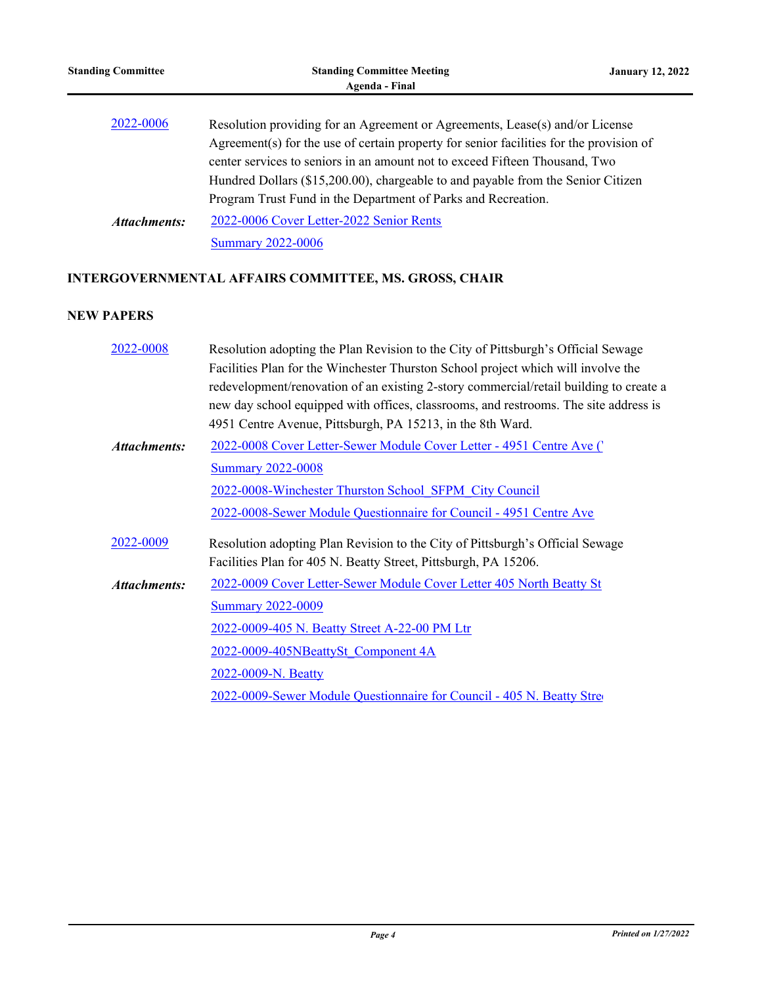| <b>Standing Committee</b> | <b>Standing Committee Meeting</b><br>Agenda - Final                                                                                                                                                                                                                                                                                        | <b>January 12, 2022</b> |
|---------------------------|--------------------------------------------------------------------------------------------------------------------------------------------------------------------------------------------------------------------------------------------------------------------------------------------------------------------------------------------|-------------------------|
| 2022-0006                 | Resolution providing for an Agreement or Agreements, Lease(s) and/or License<br>Agreement(s) for the use of certain property for senior facilities for the provision of<br>center services to seniors in an amount not to exceed Fifteen Thousand, Two<br>Hundred Dollars (\$15,200.00), chargeable to and payable from the Senior Citizen |                         |
| Attachments:              | Program Trust Fund in the Department of Parks and Recreation.<br>2022-0006 Cover Letter-2022 Senior Rents<br><b>Summary 2022-0006</b>                                                                                                                                                                                                      |                         |

# **INTERGOVERNMENTAL AFFAIRS COMMITTEE, MS. GROSS, CHAIR**

# **NEW PAPERS**

| 2022-0008           | Resolution adopting the Plan Revision to the City of Pittsburgh's Official Sewage      |
|---------------------|----------------------------------------------------------------------------------------|
|                     | Facilities Plan for the Winchester Thurston School project which will involve the      |
|                     | redevelopment/renovation of an existing 2-story commercial/retail building to create a |
|                     | new day school equipped with offices, classrooms, and restrooms. The site address is   |
|                     | 4951 Centre Avenue, Pittsburgh, PA 15213, in the 8th Ward.                             |
| <b>Attachments:</b> | 2022-0008 Cover Letter-Sewer Module Cover Letter - 4951 Centre Ave (                   |
|                     | <b>Summary 2022-0008</b>                                                               |
|                     | 2022-0008-Winchester Thurston School SFPM City Council                                 |
|                     | 2022-0008-Sewer Module Questionnaire for Council - 4951 Centre Ave                     |
| 2022-0009           | Resolution adopting Plan Revision to the City of Pittsburgh's Official Sewage          |
|                     | Facilities Plan for 405 N. Beatty Street, Pittsburgh, PA 15206.                        |
| <b>Attachments:</b> | 2022-0009 Cover Letter-Sewer Module Cover Letter 405 North Beatty St                   |
|                     | <b>Summary 2022-0009</b>                                                               |
|                     | 2022-0009-405 N. Beatty Street A-22-00 PM Ltr                                          |
|                     | 2022-0009-405NBeattySt Component 4A                                                    |
|                     | 2022-0009-N. Beatty                                                                    |
|                     | 2022-0009-Sewer Module Questionnaire for Council - 405 N. Beatty Stre                  |